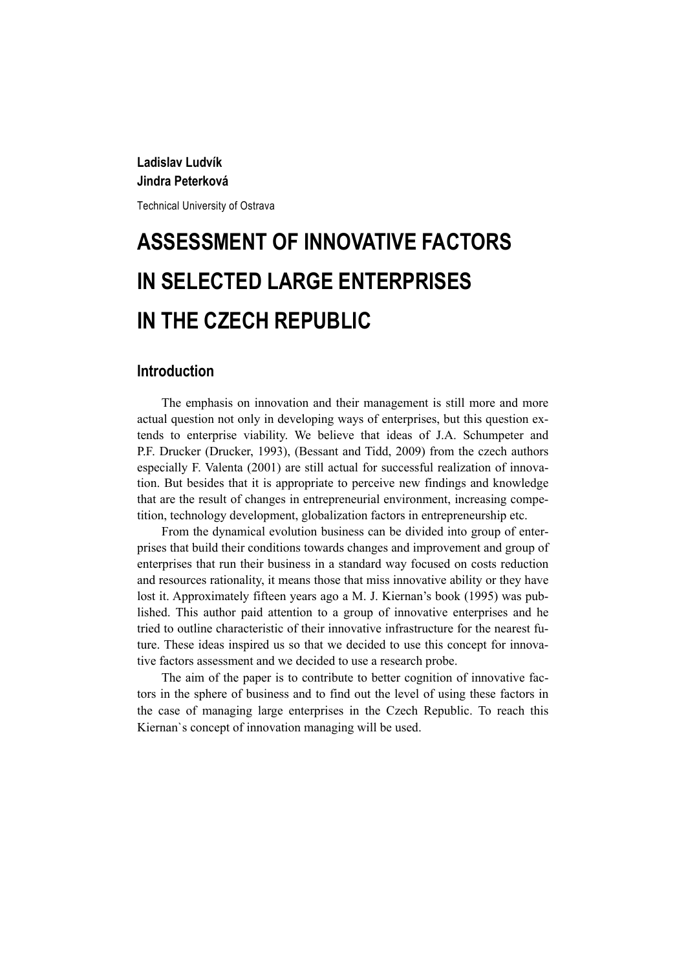# **Ladislav Ludvík Jindra Peterková**

Technical University of Ostrava

# **ASSESSMENT OF INNOVATIVE FACTORS IN SELECTED LARGE ENTERPRISES IN THE CZECH REPUBLIC**

# **Introduction**

The emphasis on innovation and their management is still more and more actual question not only in developing ways of enterprises, but this question extends to enterprise viability. We believe that ideas of J.A. Schumpeter and P.F. Drucker (Drucker, 1993), (Bessant and Tidd, 2009) from the czech authors especially F. Valenta (2001) are still actual for successful realization of innovation. But besides that it is appropriate to perceive new findings and knowledge that are the result of changes in entrepreneurial environment, increasing competition, technology development, globalization factors in entrepreneurship etc.

From the dynamical evolution business can be divided into group of enterprises that build their conditions towards changes and improvement and group of enterprises that run their business in a standard way focused on costs reduction and resources rationality, it means those that miss innovative ability or they have lost it. Approximately fifteen years ago a M. J. Kiernan's book (1995) was published. This author paid attention to a group of innovative enterprises and he tried to outline characteristic of their innovative infrastructure for the nearest future. These ideas inspired us so that we decided to use this concept for innovative factors assessment and we decided to use a research probe.

The aim of the paper is to contribute to better cognition of innovative factors in the sphere of business and to find out the level of using these factors in the case of managing large enterprises in the Czech Republic. To reach this Kiernan`s concept of innovation managing will be used.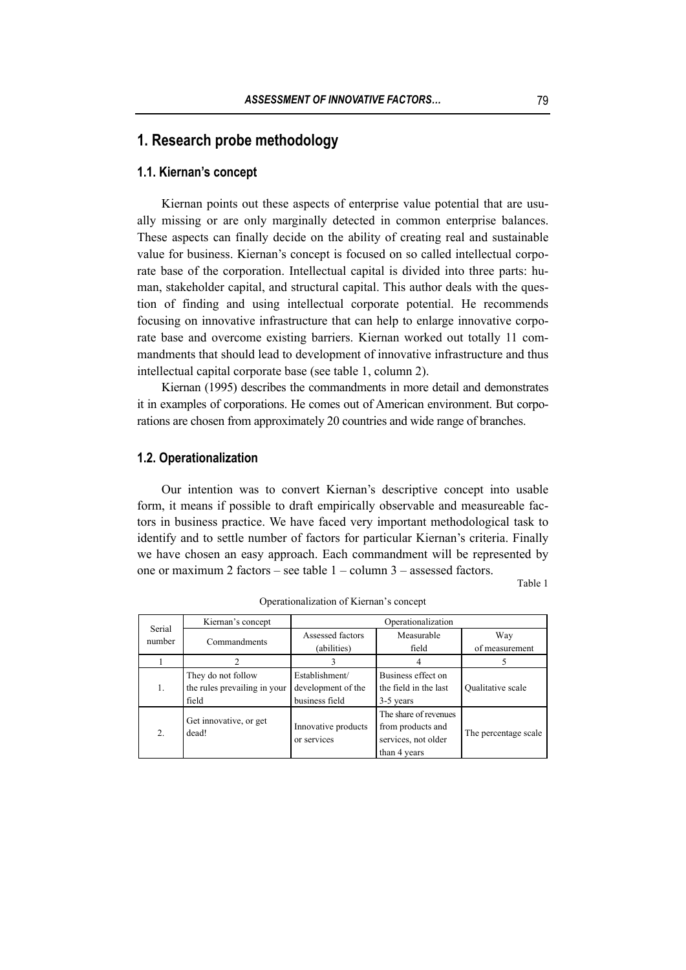# **1. Research probe methodology**

#### **1.1. Kiernan's concept**

Kiernan points out these aspects of enterprise value potential that are usually missing or are only marginally detected in common enterprise balances. These aspects can finally decide on the ability of creating real and sustainable value for business. Kiernan's concept is focused on so called intellectual corporate base of the corporation. Intellectual capital is divided into three parts: human, stakeholder capital, and structural capital. This author deals with the question of finding and using intellectual corporate potential. He recommends focusing on innovative infrastructure that can help to enlarge innovative corporate base and overcome existing barriers. Kiernan worked out totally 11 commandments that should lead to development of innovative infrastructure and thus intellectual capital corporate base (see table 1, column 2).

Kiernan (1995) describes the commandments in more detail and demonstrates it in examples of corporations. He comes out of American environment. But corporations are chosen from approximately 20 countries and wide range of branches.

#### **1.2. Operationalization**

Our intention was to convert Kiernan's descriptive concept into usable form, it means if possible to draft empirically observable and measureable factors in business practice. We have faced very important methodological task to identify and to settle number of factors for particular Kiernan's criteria. Finally we have chosen an easy approach. Each commandment will be represented by one or maximum 2 factors – see table 1 – column 3 – assessed factors.

Table 1

| Serial           | Kiernan's concept                                           | Operationalization                                     |                                                                                   |                          |  |  |  |
|------------------|-------------------------------------------------------------|--------------------------------------------------------|-----------------------------------------------------------------------------------|--------------------------|--|--|--|
| number           | Commandments                                                | Assessed factors<br>(abilities)                        | Measurable<br>field                                                               | Way<br>of measurement    |  |  |  |
|                  |                                                             |                                                        |                                                                                   |                          |  |  |  |
| 1.               | They do not follow<br>the rules prevailing in your<br>field | Establishment/<br>development of the<br>business field | Business effect on<br>the field in the last<br>3-5 years                          | <b>Oualitative</b> scale |  |  |  |
| $\overline{2}$ . | Get innovative, or get<br>dead!                             | Innovative products<br>or services                     | The share of revenues<br>from products and<br>services, not older<br>than 4 years | The percentage scale     |  |  |  |

Operationalization of Kiernan's concept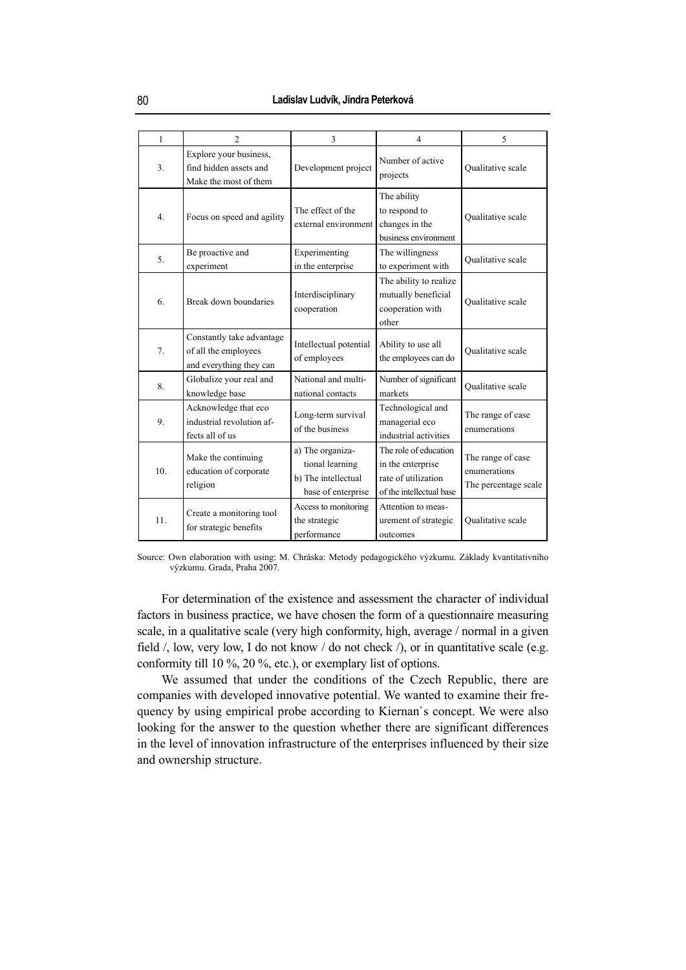| 1              | $\mathfrak{D}$                                                               | 3                                                                                                                                                                                 | 4                                                                          | 5                                                         |  |
|----------------|------------------------------------------------------------------------------|-----------------------------------------------------------------------------------------------------------------------------------------------------------------------------------|----------------------------------------------------------------------------|-----------------------------------------------------------|--|
| 3 <sub>1</sub> | Explore your business,<br>find hidden assets and<br>Make the most of them    | Development project                                                                                                                                                               | Number of active<br>projects                                               | Qualitative scale                                         |  |
| 4 <sub>1</sub> | Focus on speed and agility                                                   | The effect of the<br>external environment                                                                                                                                         | The ability<br>to respond to<br>changes in the<br>business environment     |                                                           |  |
| 5.             | Be proactive and<br>experiment                                               | Experimenting<br>in the enterprise                                                                                                                                                | The willingness<br>to experiment with                                      | <b>Oualitative</b> scale                                  |  |
| 6.             | Break down boundaries                                                        | Interdisciplinary<br>cooperation                                                                                                                                                  | The ability to realize<br>mutually beneficial<br>cooperation with<br>other | <b>Oualitative</b> scale                                  |  |
| 7.             | Constantly take advantage<br>of all the employees<br>and everything they can | Intellectual potential<br>of employees                                                                                                                                            | Ability to use all<br>the employees can do                                 | <b>Oualitative</b> scale                                  |  |
| 8.             | Globalize your real and<br>knowledge base                                    | National and multi-<br>national contacts                                                                                                                                          | Number of significant<br>markets                                           | <b>Oualitative</b> scale                                  |  |
| 9.             | Acknowledge that eco<br>industrial revolution af-<br>fects all of us         | Long-term survival<br>of the business                                                                                                                                             | Technological and<br>managerial eco<br>industrial activities               | The range of case<br>enumerations                         |  |
| 10.            | Make the continuing<br>education of corporate<br>religion                    | The role of education<br>a) The organiza-<br>tional learning<br>in the enterprise<br>b) The intellectual<br>rate of utilization<br>of the intellectual base<br>base of enterprise |                                                                            | The range of case<br>enumerations<br>The percentage scale |  |
| 11.            | Create a monitoring tool<br>for strategic benefits                           | Access to monitoring<br>the strategic<br>performance                                                                                                                              | Attention to meas-<br>urement of strategic<br>outcomes                     | <b>Oualitative</b> scale                                  |  |

Source: Own elaboration with using: M. Chráska: Metody pedagogického výzkumu. Základy kvantitativního výzkumu. Grada, Praha 2007.

For determination of the existence and assessment the character of individual factors in business practice, we have chosen the form of a questionnaire measuring scale, in a qualitative scale (very high conformity, high, average / normal in a given field  $\ell$ , low, very low, I do not know  $\ell$  do not check  $\ell$ , or in quantitative scale (e.g. conformity till 10 %, 20 %, etc.), or exemplary list of options.

We assumed that under the conditions of the Czech Republic, there are companies with developed innovative potential. We wanted to examine their frequency by using empirical probe according to Kiernan`s concept. We were also looking for the answer to the question whether there are significant differences in the level of innovation infrastructure of the enterprises influenced by their size and ownership structure.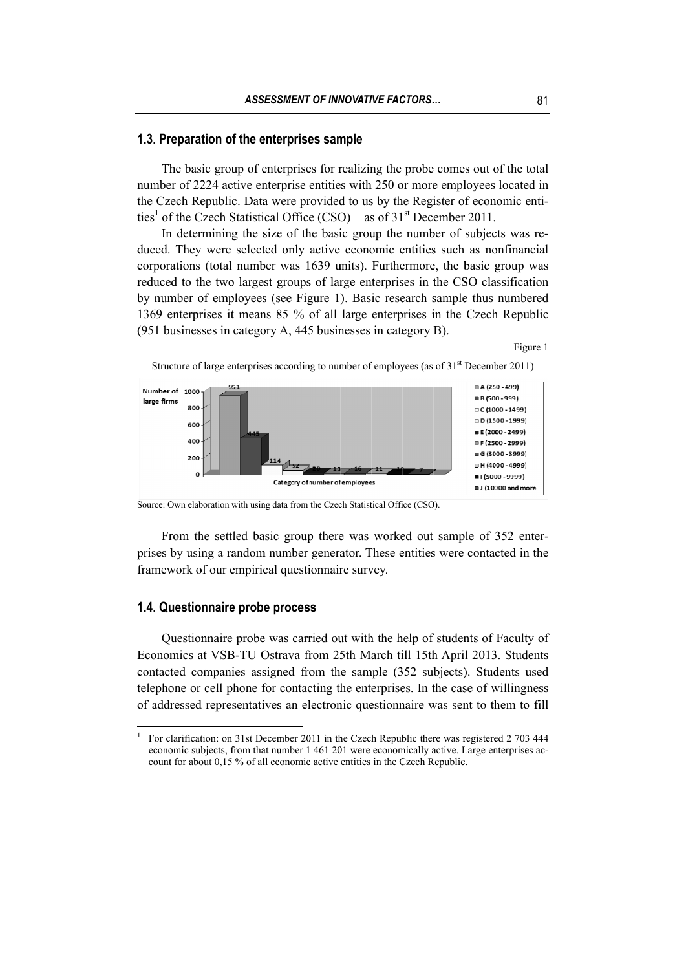#### 1.3. Preparation of the enterprises sample

number of 2224 active enterprise entities with 250 or more employees located in the Czech Republic. Data were provided to us by the Register of economic entities<sup>1</sup> of the Czech Statistical Office (CSO) – as of  $31<sup>st</sup>$  December 2011. The basic group of enterprises for realizing the probe comes out of the total

duced. They were selected only active economic entities such as nonfinancial corporations (total number was 1639 units). Furthermore, the basic group was reduced to the two largest groups of large enterprises in the CSO classification by number of employees (see Figure 1). Basic research sample thus numbered 1369 enterprises it means 85 % of all large enterprises in the Czech Republic (951 businesses in category A, 445 businesses in category B). In determining the size of the basic group the number of subjects was re-

Figure 1



Structure of large enterprises according to number of employees (as of  $31<sup>st</sup>$  December 2011)

Source: Own elaboration with using data from the Czech Statistical Office (CSO).

prises by using a random number generator. These entities were contacted in the framework of our empirical questionnaire survey. From the settled basic group there was worked out sample of 352 enterework of our empirical questionnaire survey.<br> **Questionnaire probe process**<br>
Questionnaire probe was carried out with the help of students of Faculty of

#### **1.4. Questionnaire probe process**

 $\overline{a}$  $\overline{a}$  $\overline{a}$  $\overline{a}$  $\overline{a}$ 

 $\overline{a}$ 

 $\overline{a}$  $\overline{a}$  $\overline{a}$  $\overline{a}$  $\overline{a}$ 

Economics at VSB-TU Ostrava from 25th March till 15th April 2013. Students contacted companies assigned from the sample (352 subjects). Students used telephone or cell phone for contacting the enterprises. In the case of willingness of addressed representatives an electronic questionnaire was sent to them to fill

<sup>1</sup> For clarification: on 31st December 2011 in the Czech Republic there was registered 2 703 444 economic subjects, from that number 1 461 201 were economically active. Large enterprises account for about 0,15 % of all economic active entities in the Czech Republic.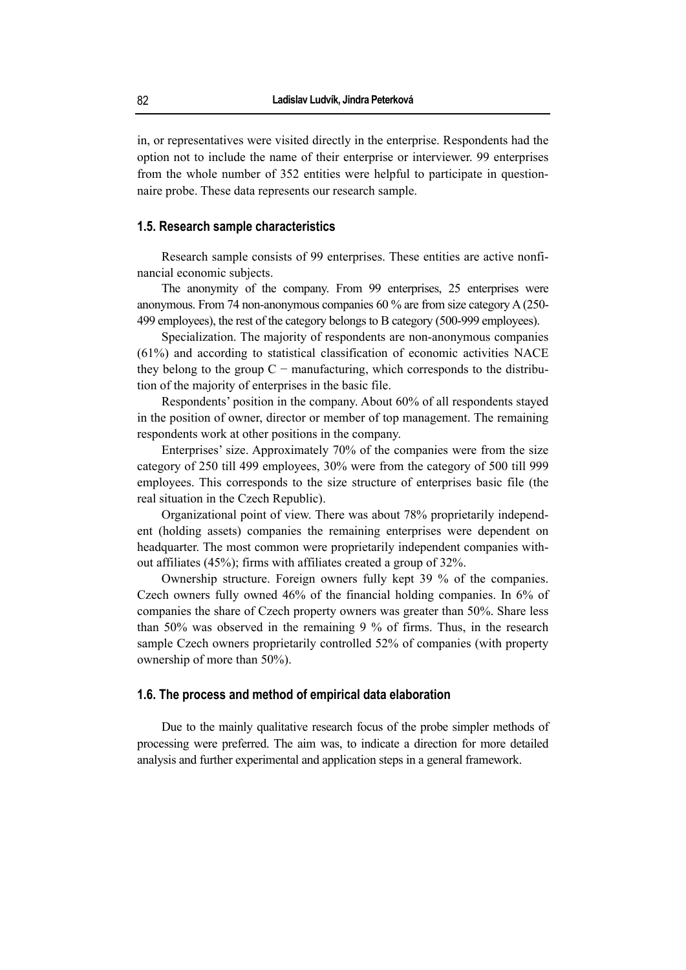in, or representatives were visited directly in the enterprise. Respondents had the option not to include the name of their enterprise or interviewer. 99 enterprises from the whole number of 352 entities were helpful to participate in questionnaire probe. These data represents our research sample.

#### **1.5. Research sample characteristics**

Research sample consists of 99 enterprises. These entities are active nonfinancial economic subjects.

The anonymity of the company. From 99 enterprises, 25 enterprises were anonymous. From 74 non-anonymous companies 60 % are from size category A (250- 499 employees), the rest of the category belongs to B category (500-999 employees).

Specialization. The majority of respondents are non-anonymous companies (61%) and according to statistical classification of economic activities NACE they belong to the group  $C$  – manufacturing, which corresponds to the distribution of the majority of enterprises in the basic file.

Respondents' position in the company. About 60% of all respondents stayed in the position of owner, director or member of top management. The remaining respondents work at other positions in the company.

Enterprises' size. Approximately 70% of the companies were from the size category of 250 till 499 employees, 30% were from the category of 500 till 999 employees. This corresponds to the size structure of enterprises basic file (the real situation in the Czech Republic).

Organizational point of view. There was about 78% proprietarily independent (holding assets) companies the remaining enterprises were dependent on headquarter. The most common were proprietarily independent companies without affiliates (45%); firms with affiliates created a group of 32%.

Ownership structure. Foreign owners fully kept 39 % of the companies. Czech owners fully owned 46% of the financial holding companies. In 6% of companies the share of Czech property owners was greater than 50%. Share less than 50% was observed in the remaining 9 % of firms. Thus, in the research sample Czech owners proprietarily controlled 52% of companies (with property ownership of more than 50%).

#### **1.6. The process and method of empirical data elaboration**

Due to the mainly qualitative research focus of the probe simpler methods of processing were preferred. The aim was, to indicate a direction for more detailed analysis and further experimental and application steps in a general framework.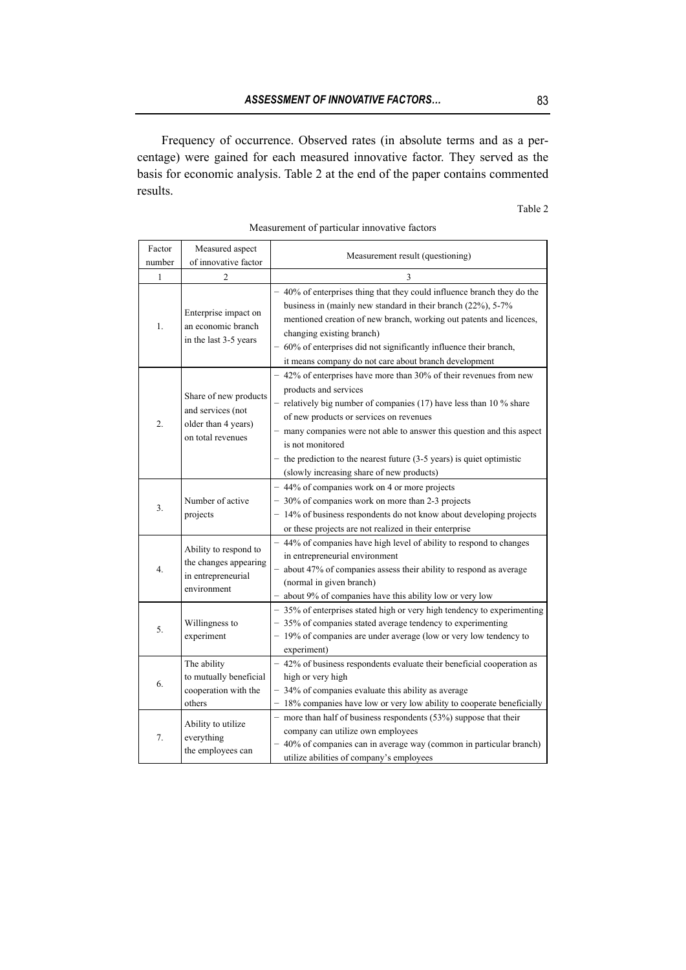Frequency of occurrence. Observed rates (in absolute terms and as a percentage) were gained for each measured innovative factor. They served as the basis for economic analysis. Table 2 at the end of the paper contains commented results.

### Table 2

| Factor<br>number | Measured aspect<br>of innovative factor                                                | Measurement result (questioning)                                                                                                                                                                                                                                                                                                                                                                                                              |  |  |  |
|------------------|----------------------------------------------------------------------------------------|-----------------------------------------------------------------------------------------------------------------------------------------------------------------------------------------------------------------------------------------------------------------------------------------------------------------------------------------------------------------------------------------------------------------------------------------------|--|--|--|
| 1                | $\mathfrak{D}$                                                                         | 3                                                                                                                                                                                                                                                                                                                                                                                                                                             |  |  |  |
| 1.               | Enterprise impact on<br>an economic branch<br>in the last 3-5 years                    | - 40% of enterprises thing that they could influence branch they do the<br>business in (mainly new standard in their branch (22%), 5-7%<br>mentioned creation of new branch, working out patents and licences,<br>changing existing branch)<br>60% of enterprises did not significantly influence their branch,<br>it means company do not care about branch development                                                                      |  |  |  |
| 2.               | Share of new products<br>and services (not<br>older than 4 years)<br>on total revenues | - 42% of enterprises have more than 30% of their revenues from new<br>products and services<br>- relatively big number of companies (17) have less than 10 $\%$ share<br>of new products or services on revenues<br>many companies were not able to answer this question and this aspect<br>is not monitored<br>- the prediction to the nearest future $(3-5 \text{ years})$ is quiet optimistic<br>(slowly increasing share of new products) |  |  |  |
| 3.               | Number of active<br>projects                                                           | - 44% of companies work on 4 or more projects<br>- 30% of companies work on more than 2-3 projects<br>- 14% of business respondents do not know about developing projects<br>or these projects are not realized in their enterprise                                                                                                                                                                                                           |  |  |  |
| 4.               | Ability to respond to<br>the changes appearing<br>in entrepreneurial<br>environment    | - 44% of companies have high level of ability to respond to changes<br>in entrepreneurial environment<br>about 47% of companies assess their ability to respond as average<br>(normal in given branch)<br>about 9% of companies have this ability low or very low                                                                                                                                                                             |  |  |  |
| 5.               | Willingness to<br>experiment                                                           | - 35% of enterprises stated high or very high tendency to experimenting<br>- 35% of companies stated average tendency to experimenting<br>- 19% of companies are under average (low or very low tendency to<br>experiment)                                                                                                                                                                                                                    |  |  |  |
| 6.               | The ability<br>to mutually beneficial<br>cooperation with the<br>others                | - 42% of business respondents evaluate their beneficial cooperation as<br>high or very high<br>- 34% of companies evaluate this ability as average<br>18% companies have low or very low ability to cooperate beneficially                                                                                                                                                                                                                    |  |  |  |
| 7.               | Ability to utilize<br>everything<br>the employees can                                  | - more than half of business respondents $(53\%)$ suppose that their<br>company can utilize own employees<br>- 40% of companies can in average way (common in particular branch)<br>utilize abilities of company's employees                                                                                                                                                                                                                  |  |  |  |

| Measurement of particular innovative factors |  |  |  |
|----------------------------------------------|--|--|--|
|----------------------------------------------|--|--|--|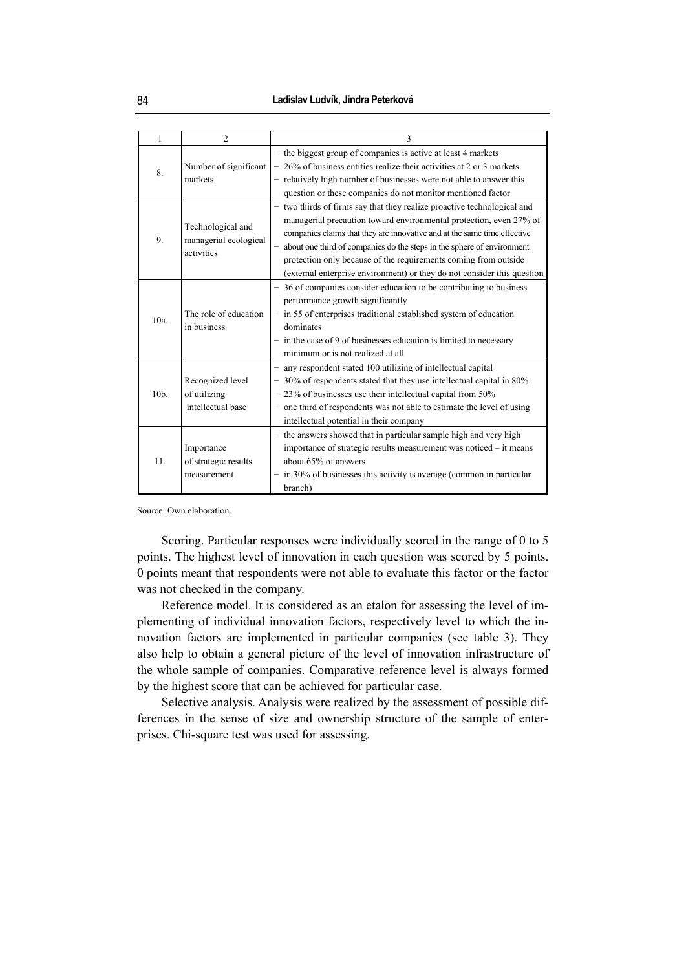| 1    | $\overline{2}$                                           | 3                                                                                                                                                                                                                                                                                                                                                                                                                                                 |  |  |  |
|------|----------------------------------------------------------|---------------------------------------------------------------------------------------------------------------------------------------------------------------------------------------------------------------------------------------------------------------------------------------------------------------------------------------------------------------------------------------------------------------------------------------------------|--|--|--|
| 8.   | Number of significant<br>markets                         | - the biggest group of companies is active at least 4 markets<br>26% of business entities realize their activities at 2 or 3 markets<br>- relatively high number of businesses were not able to answer this<br>question or these companies do not monitor mentioned factor                                                                                                                                                                        |  |  |  |
| 9.   | Technological and<br>managerial ecological<br>activities | - two thirds of firms say that they realize proactive technological and<br>managerial precaution toward environmental protection, even 27% of<br>companies claims that they are innovative and at the same time effective<br>about one third of companies do the steps in the sphere of environment<br>protection only because of the requirements coming from outside<br>(external enterprise environment) or they do not consider this question |  |  |  |
| 10a  | The role of education<br>in business                     | - 36 of companies consider education to be contributing to business<br>performance growth significantly<br>- in 55 of enterprises traditional established system of education<br>dominates<br>$-$ in the case of 9 of businesses education is limited to necessary<br>minimum or is not realized at all                                                                                                                                           |  |  |  |
| 10b. | Recognized level<br>of utilizing<br>intellectual base    | any respondent stated 100 utilizing of intellectual capital<br>30% of respondents stated that they use intellectual capital in 80%<br>- 23% of businesses use their intellectual capital from 50%<br>one third of respondents was not able to estimate the level of using<br>intellectual potential in their company                                                                                                                              |  |  |  |
| 11.  | Importance<br>of strategic results<br>measurement        | - the answers showed that in particular sample high and very high<br>importance of strategic results measurement was noticed - it means<br>about 65% of answers<br>$-$ in 30% of businesses this activity is average (common in particular<br>branch)                                                                                                                                                                                             |  |  |  |

Source: Own elaboration.

Scoring. Particular responses were individually scored in the range of 0 to 5 points. The highest level of innovation in each question was scored by 5 points. 0 points meant that respondents were not able to evaluate this factor or the factor was not checked in the company.

Reference model. It is considered as an etalon for assessing the level of implementing of individual innovation factors, respectively level to which the innovation factors are implemented in particular companies (see table 3). They also help to obtain a general picture of the level of innovation infrastructure of the whole sample of companies. Comparative reference level is always formed by the highest score that can be achieved for particular case.

Selective analysis. Analysis were realized by the assessment of possible differences in the sense of size and ownership structure of the sample of enterprises. Chi-square test was used for assessing.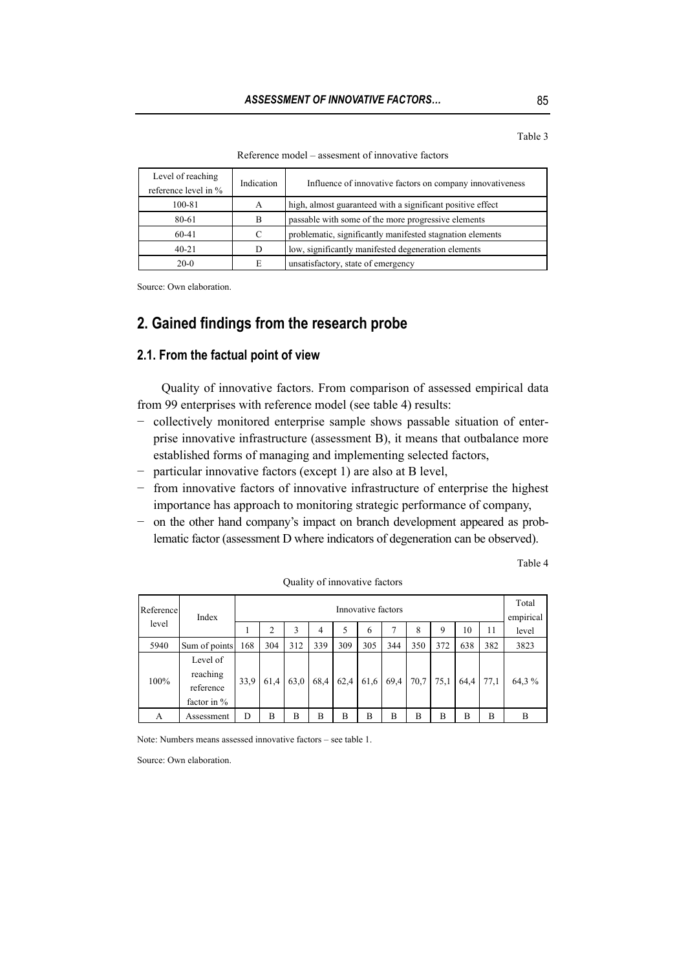Table 3

| Reference model – assesment of innovative factors |
|---------------------------------------------------|
|---------------------------------------------------|

| Level of reaching<br>reference level in % | Indication | Influence of innovative factors on company innovativeness  |  |  |
|-------------------------------------------|------------|------------------------------------------------------------|--|--|
| 100-81                                    | A          | high, almost guaranteed with a significant positive effect |  |  |
| 80-61                                     | B          | passable with some of the more progressive elements        |  |  |
| $60-41$                                   | C          | problematic, significantly manifested stagnation elements  |  |  |
| $40 - 21$<br>D                            |            | low, significantly manifested degeneration elements        |  |  |
| E<br>$20-0$                               |            | unsatisfactory, state of emergency                         |  |  |

Source: Own elaboration.

# **2. Gained findings from the research probe**

#### **2.1. From the factual point of view**

Quality of innovative factors. From comparison of assessed empirical data from 99 enterprises with reference model (see table 4) results:

- − collectively monitored enterprise sample shows passable situation of enterprise innovative infrastructure (assessment B), it means that outbalance more established forms of managing and implementing selected factors,
- − particular innovative factors (except 1) are also at B level,
- − from innovative factors of innovative infrastructure of enterprise the highest importance has approach to monitoring strategic performance of company,
- − on the other hand company's impact on branch development appeared as problematic factor (assessment D where indicators of degeneration can be observed).

Table 4

| Reference | Index                                            |      |                |      |      | Innovative factors |      |      |           |     |      | Total<br>empirical |       |
|-----------|--------------------------------------------------|------|----------------|------|------|--------------------|------|------|-----------|-----|------|--------------------|-------|
| level     |                                                  | 1    | $\overline{2}$ | 3    | 4    | 5                  | 6    |      | 8         | 9   | 10   | 11                 | level |
| 5940      | Sum of points                                    | 168  | 304            | 312  | 339  | 309                | 305  | 344  | 350       | 372 | 638  | 382                | 3823  |
| 100%      | Level of<br>reaching<br>reference<br>factor in % | 33,9 | 61.4           | 63,0 | 68.4 | 62,4               | 61,6 | 69,4 | 70.7 75.1 |     | 64.4 | 77,1               | 64,3% |
| A         | Assessment                                       | D    | В              | B    | B    | B                  | B    | B    | B         | B   | B    | B                  | B     |

Quality of innovative factors

Note: Numbers means assessed innovative factors – see table 1.

Source: Own elaboration.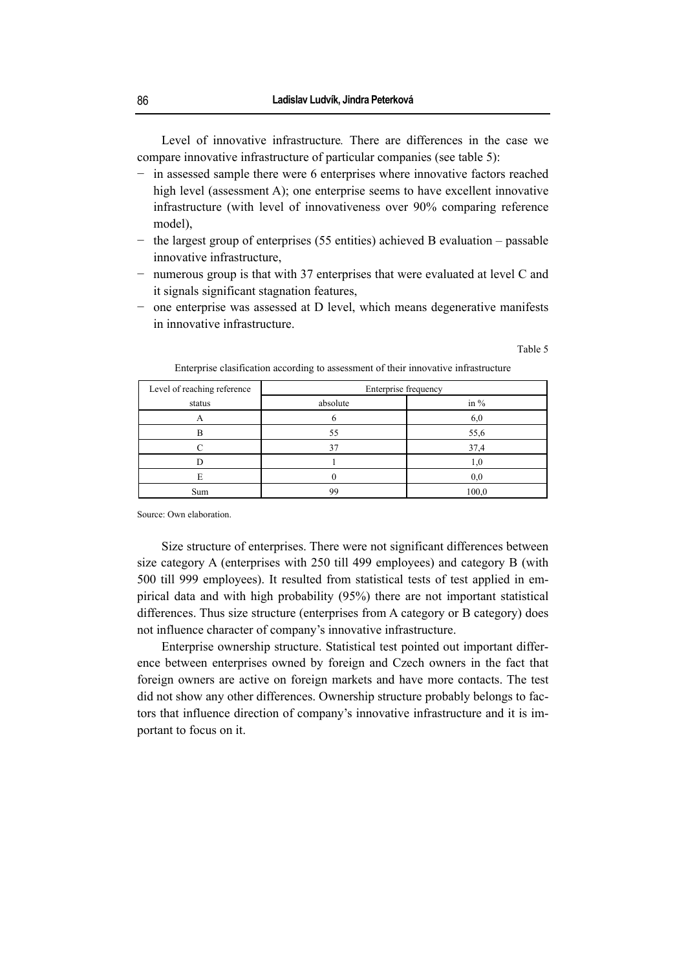Level of innovative infrastructure*.* There are differences in the case we compare innovative infrastructure of particular companies (see table 5):

- − in assessed sample there were 6 enterprises where innovative factors reached high level (assessment A); one enterprise seems to have excellent innovative infrastructure (with level of innovativeness over 90% comparing reference model),
- − the largest group of enterprises (55 entities) achieved B evaluation passable innovative infrastructure,
- − numerous group is that with 37 enterprises that were evaluated at level C and it signals significant stagnation features,
- − one enterprise was assessed at D level, which means degenerative manifests in innovative infrastructure.

Table 5

| Level of reaching reference | Enterprise frequency |        |  |  |  |
|-----------------------------|----------------------|--------|--|--|--|
| status                      | absolute             | in $%$ |  |  |  |
|                             |                      | 6,0    |  |  |  |
| в                           | 55                   | 55,6   |  |  |  |
|                             |                      | 37,4   |  |  |  |
|                             |                      |        |  |  |  |
|                             |                      | 0.0    |  |  |  |
| Sum                         | 99                   | 100,0  |  |  |  |

Enterprise clasification according to assessment of their innovative infrastructure

Source: Own elaboration.

Size structure of enterprises. There were not significant differences between size category A (enterprises with 250 till 499 employees) and category B (with 500 till 999 employees). It resulted from statistical tests of test applied in empirical data and with high probability (95%) there are not important statistical differences. Thus size structure (enterprises from A category or B category) does not influence character of company's innovative infrastructure.

Enterprise ownership structure. Statistical test pointed out important difference between enterprises owned by foreign and Czech owners in the fact that foreign owners are active on foreign markets and have more contacts. The test did not show any other differences. Ownership structure probably belongs to factors that influence direction of company's innovative infrastructure and it is important to focus on it.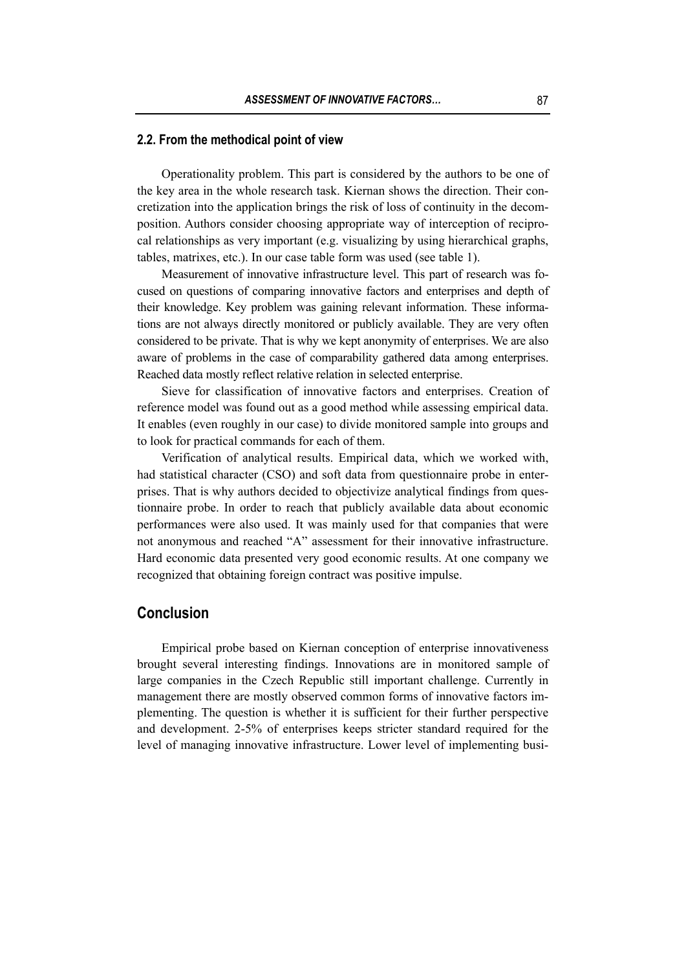#### **2.2. From the methodical point of view**

Operationality problem. This part is considered by the authors to be one of the key area in the whole research task. Kiernan shows the direction. Their concretization into the application brings the risk of loss of continuity in the decomposition. Authors consider choosing appropriate way of interception of reciprocal relationships as very important (e.g. visualizing by using hierarchical graphs, tables, matrixes, etc.). In our case table form was used (see table 1).

Measurement of innovative infrastructure level. This part of research was focused on questions of comparing innovative factors and enterprises and depth of their knowledge. Key problem was gaining relevant information. These informations are not always directly monitored or publicly available. They are very often considered to be private. That is why we kept anonymity of enterprises. We are also aware of problems in the case of comparability gathered data among enterprises. Reached data mostly reflect relative relation in selected enterprise.

Sieve for classification of innovative factors and enterprises. Creation of reference model was found out as a good method while assessing empirical data. It enables (even roughly in our case) to divide monitored sample into groups and to look for practical commands for each of them.

Verification of analytical results. Empirical data, which we worked with, had statistical character (CSO) and soft data from questionnaire probe in enterprises. That is why authors decided to objectivize analytical findings from questionnaire probe. In order to reach that publicly available data about economic performances were also used. It was mainly used for that companies that were not anonymous and reached "A" assessment for their innovative infrastructure. Hard economic data presented very good economic results. At one company we recognized that obtaining foreign contract was positive impulse.

# **Conclusion**

Empirical probe based on Kiernan conception of enterprise innovativeness brought several interesting findings. Innovations are in monitored sample of large companies in the Czech Republic still important challenge. Currently in management there are mostly observed common forms of innovative factors implementing. The question is whether it is sufficient for their further perspective and development. 2-5% of enterprises keeps stricter standard required for the level of managing innovative infrastructure. Lower level of implementing busi